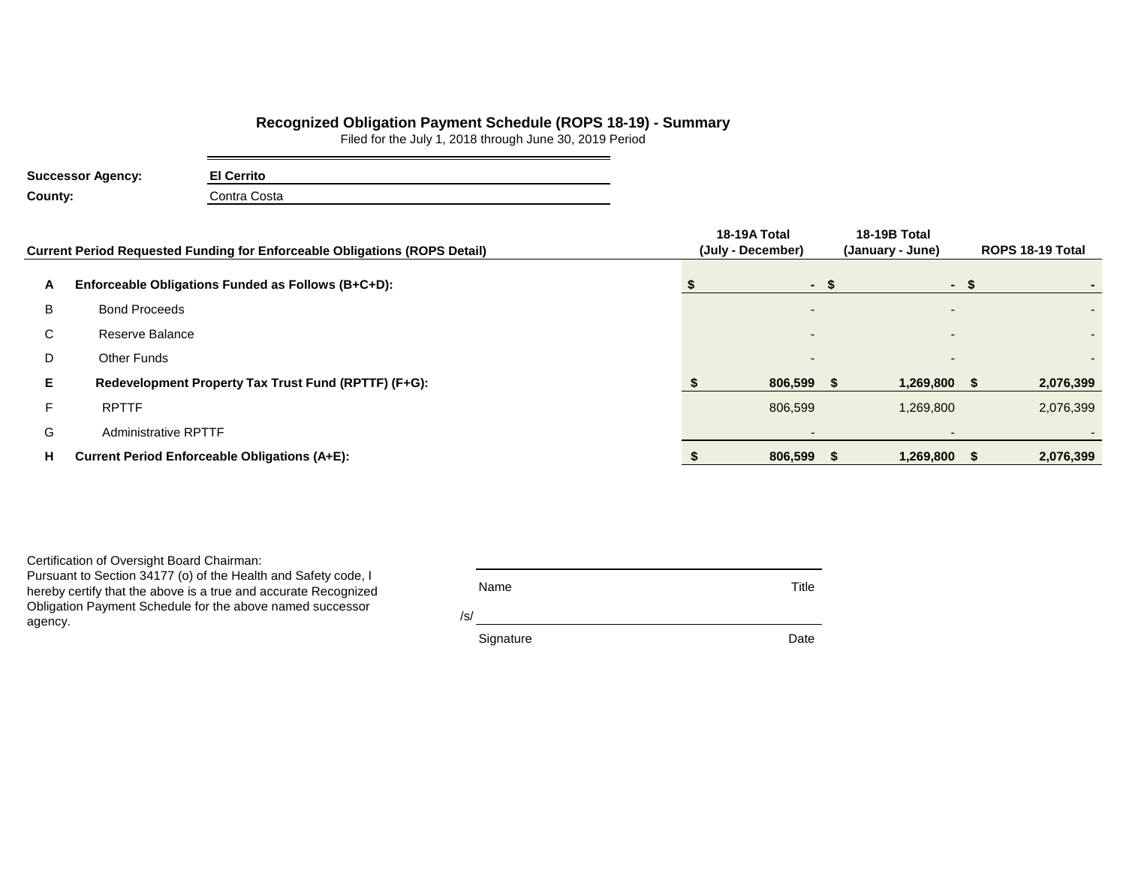## **Recognized Obligation Payment Schedule (ROPS 18-19) - Summary**

Filed for the July 1, 2018 through June 30, 2019 Period

| <b>Successor Agency:</b> | <b>El Cerrito</b> |
|--------------------------|-------------------|
| County:                  | Contra Costa      |

|    | <b>Current Period Requested Funding for Enforceable Obligations (ROPS Detail)</b> | 18-19A Total<br>(July - December) | 18-19B Total<br>(January - June) |                          | ROPS 18-19 Total |           |  |
|----|-----------------------------------------------------------------------------------|-----------------------------------|----------------------------------|--------------------------|------------------|-----------|--|
| A  | Enforceable Obligations Funded as Follows (B+C+D):                                | $-S$                              |                                  |                          | $-S$             |           |  |
| B  | <b>Bond Proceeds</b>                                                              |                                   |                                  |                          |                  |           |  |
| С  | Reserve Balance                                                                   |                                   |                                  | $\overline{\phantom{0}}$ |                  |           |  |
| D  | <b>Other Funds</b>                                                                |                                   |                                  |                          |                  |           |  |
| E. | Redevelopment Property Tax Trust Fund (RPTTF) (F+G):                              | 806,599                           |                                  | 1,269,800                |                  | 2,076,399 |  |
| F  | <b>RPTTF</b>                                                                      | 806,599                           |                                  | 1,269,800                |                  | 2,076,399 |  |
| G  | <b>Administrative RPTTF</b>                                                       |                                   |                                  |                          |                  |           |  |
| н  | <b>Current Period Enforceable Obligations (A+E):</b>                              | 806,599                           |                                  | 1,269,800 \$             |                  | 2,076,399 |  |

Certification of Oversight Board Chairman:

Pursuant to Section 34177 (o) of the Health and Safety code, I hereby certify that the above is a true and accurate Recognized Obligation Payment Schedule for the above named successor agency.

| Name | Title |
|------|-------|
|      |       |

/s/

Signature Date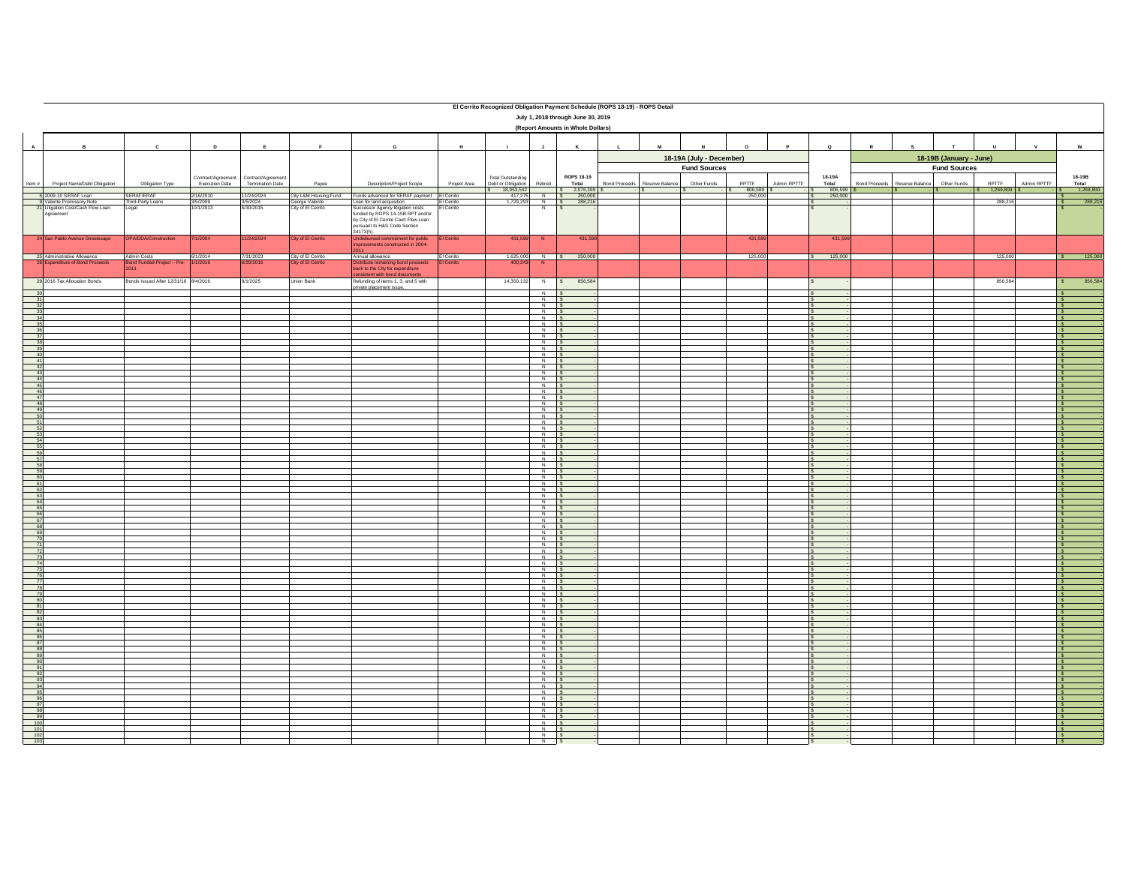|                                           | El Cerrito Recognized Obligation Payment Schedule (ROPS 18-19) - ROPS Detail<br>July 1, 2018 through June 30, 2019<br>(Report Amounts in Whole Dollars) |                                                   |                                    |                                     |                                                               |                                                                                                                                                                                                                                        |                          |                                  |                                                                      |                        |                                                 |                 |                             |                                |              |                   |                      |                                                |              |                                  |             |                                                     |
|-------------------------------------------|---------------------------------------------------------------------------------------------------------------------------------------------------------|---------------------------------------------------|------------------------------------|-------------------------------------|---------------------------------------------------------------|----------------------------------------------------------------------------------------------------------------------------------------------------------------------------------------------------------------------------------------|--------------------------|----------------------------------|----------------------------------------------------------------------|------------------------|-------------------------------------------------|-----------------|-----------------------------|--------------------------------|--------------|-------------------|----------------------|------------------------------------------------|--------------|----------------------------------|-------------|-----------------------------------------------------|
|                                           | $\mathbf{A}$<br>$\mathbf{D}$<br>E<br>$\mathbf G$<br>B<br>$\mathbf{c}$<br>F<br>H                                                                         |                                                   |                                    |                                     |                                                               | $\mathbf{I}$                                                                                                                                                                                                                           | $\mathbf{J}$             | $\kappa$                         | $\mathbf{L}$                                                         | M                      | $\mathbf{N}$                                    | $\Omega$        | $\mathbf{P}$                | $\circ$                        | $\mathbb{R}$ | $\mathbf{s}$      | $\mathbf{r}$         | $\mathbf{u}$                                   | $\mathbf{v}$ | $\mathsf{w}$                     |             |                                                     |
|                                           |                                                                                                                                                         |                                                   | Contract/Agreement                 | Contract/Agreement                  |                                                               |                                                                                                                                                                                                                                        |                          | <b>Total Outstanding</b>         |                                                                      | ROPS 18-19             | 18-19A (July - December)<br><b>Fund Sources</b> |                 |                             |                                | 18-19A       |                   |                      | 18-19B (January - June)<br><b>Fund Sources</b> |              |                                  | 18-19B      |                                                     |
| Item $#$                                  | Project Name/Debt Obligation                                                                                                                            | Obligation Type                                   | Execution Date                     | Termination Date                    | Payee                                                         | Description/Project Scope                                                                                                                                                                                                              | Project Area             | Debt or Obligation<br>18,953,542 | Retired                                                              | Total                  | <b>Bond Proceeds</b>                            | Reserve Balance | Other Funds<br>$\mathsf{I}$ | RPTTF<br>806,599<br>$\sqrt{2}$ | Admin RPTTF  | Total<br>806,599  | <b>Bond Proceeds</b> | Reserve Balance                                | Other Funds  | <b>PPTTE</b><br>1,269,800<br>l s | Admin RPTTF | Total<br>1,269,800                                  |
|                                           | 6 2009-10 SERAF Loan<br>9 Valente Promissory Note<br>21 Litigation Cost/Cash Flow Loan<br>Agreement                                                     | SERAF/ERAF<br>Third-Party Loans<br>Legal          | 2/16/2010<br>3/5/2009<br>10/1/2013 | 11/24/2024<br>3/5/2024<br>6/30/2015 | City L&M Housing Fund<br>George Valente<br>City of El Cerrito | Funds advanced for SERAF payment El Cerrito<br>Loan for land acquisition<br>Successor Agency litigation costs<br>funded by ROPS 14-15B RPT and/or<br>by City of El Cerrito Cash Flow Loan<br>pursuant to H&S Code Section<br>34173(h). | El Cerrito<br>El Cerrito | 417.275<br>1,729,293             | Z                                                                    | N \$ 250,000<br>IS     |                                                 |                 |                             | 250.00                         |              | 250,000           |                      |                                                |              | 288,216                          |             | 288,216<br>ΙS                                       |
|                                           | 24 San Pablo Avenue Streetscape                                                                                                                         | OPA/DDA/Construction                              | 7/1/2004                           | 11/24/2024                          | City of El Cerrito                                            | Undisbursed commitment for public<br>mprovements constructed in 2004-                                                                                                                                                                  | El Cerrito               | 431,599                          | N                                                                    | 431,599                |                                                 |                 |                             | 431,599                        |              | 431,59            |                      |                                                |              |                                  |             |                                                     |
|                                           | 25 Administrative Allowance<br>28 Expenditure of Bond Proceeds                                                                                          | Admin Costs<br>Bond Funded Project - Pre-<br>2011 | 6/1/2014<br>/1/2016                | 7/31/2023<br>6/30/2016              | City of El Cerrito<br>City of El Cerrito                      | Annual allowance<br>stribute remaining bond proceeds<br>back to the City for expenditure<br>nsistent with bond documents                                                                                                               | El Cerrito<br>El Cerrito | 400,243                          | N                                                                    | 1,625,000 N \$ 250,000 |                                                 |                 |                             | 125,000                        |              | 125,000<br>$\sim$ |                      |                                                |              | 125,000                          |             | 125,00<br>S                                         |
|                                           | 29 2016 Tax Allocation Bonds                                                                                                                            | 8/4/2016 Sound After 12/31/10 8/4/2016            |                                    | 9/1/2025                            | Union Bank                                                    | Refunding of items 1, 3, and 5 with<br>private placement issue.                                                                                                                                                                        |                          | 14,350,132                       | $\overline{N}$                                                       | \$ 856,584             |                                                 |                 |                             |                                |              |                   |                      |                                                |              | 856,584                          |             | 856,58                                              |
| $\begin{array}{r}\n30 \\ 31\n\end{array}$ |                                                                                                                                                         |                                                   |                                    |                                     |                                                               |                                                                                                                                                                                                                                        |                          |                                  | $\begin{array}{c c}\nN & S \\ \hline\nN & S\n\end{array}$            |                        |                                                 |                 |                             |                                |              |                   |                      |                                                |              |                                  |             | Ιs                                                  |
|                                           |                                                                                                                                                         |                                                   |                                    |                                     |                                                               |                                                                                                                                                                                                                                        |                          |                                  | N S<br>$N$ $S$                                                       |                        |                                                 |                 |                             |                                |              |                   |                      |                                                |              |                                  |             | ΙS                                                  |
|                                           |                                                                                                                                                         |                                                   |                                    |                                     |                                                               |                                                                                                                                                                                                                                        |                          |                                  | N<br>$N$ s                                                           |                        |                                                 |                 |                             |                                |              |                   |                      |                                                |              |                                  |             | I۶<br>$\overline{\phantom{a}}$                      |
|                                           |                                                                                                                                                         |                                                   |                                    |                                     |                                                               |                                                                                                                                                                                                                                        |                          |                                  | $N$ $S$                                                              |                        |                                                 |                 |                             |                                |              |                   |                      |                                                |              |                                  |             | $\overline{\phantom{a}}$                            |
|                                           |                                                                                                                                                         |                                                   |                                    |                                     |                                                               |                                                                                                                                                                                                                                        |                          |                                  | $N$ $S$                                                              |                        |                                                 |                 |                             |                                |              |                   |                      |                                                |              |                                  |             | Ιs<br>l s                                           |
|                                           |                                                                                                                                                         |                                                   |                                    |                                     |                                                               |                                                                                                                                                                                                                                        |                          |                                  | $N$ $S$<br>$\begin{array}{c c}\nN & S \\ \hline\nN & S\n\end{array}$ |                        |                                                 |                 |                             |                                |              | ιs                |                      |                                                |              |                                  |             | ΙS<br>Ιs                                            |
|                                           |                                                                                                                                                         |                                                   |                                    |                                     |                                                               |                                                                                                                                                                                                                                        |                          |                                  | $N$ $S$                                                              |                        |                                                 |                 |                             |                                |              |                   |                      |                                                |              |                                  |             | $\overline{\phantom{a}}$                            |
|                                           |                                                                                                                                                         |                                                   |                                    |                                     |                                                               |                                                                                                                                                                                                                                        |                          |                                  | $N$ S<br>$\begin{array}{c c}\nN & S \\ \hline\nN & S\n\end{array}$   |                        |                                                 |                 |                             |                                |              |                   |                      |                                                |              |                                  |             | Ιs<br>Ιs                                            |
|                                           |                                                                                                                                                         |                                                   |                                    |                                     |                                                               |                                                                                                                                                                                                                                        |                          |                                  | $\begin{array}{c c}\nN & S \\ \hline\nN & S\n\end{array}$            |                        |                                                 |                 |                             |                                |              |                   |                      |                                                |              |                                  |             | ΙS<br>$\overline{\mathsf{s}}$                       |
|                                           |                                                                                                                                                         |                                                   |                                    |                                     |                                                               |                                                                                                                                                                                                                                        |                          |                                  | $N$ s                                                                |                        |                                                 |                 |                             |                                |              |                   |                      |                                                |              |                                  |             |                                                     |
|                                           |                                                                                                                                                         |                                                   |                                    |                                     |                                                               |                                                                                                                                                                                                                                        |                          |                                  | $N$ $S$<br>$N$ $S$                                                   |                        |                                                 |                 |                             |                                |              |                   |                      |                                                |              |                                  |             | Ιs<br>Ιs                                            |
|                                           |                                                                                                                                                         |                                                   |                                    |                                     |                                                               |                                                                                                                                                                                                                                        |                          |                                  | $N$ $S$                                                              |                        |                                                 |                 |                             |                                |              |                   |                      |                                                |              |                                  |             | Ιs<br>$\overline{\phantom{a}}$                      |
|                                           |                                                                                                                                                         |                                                   |                                    |                                     |                                                               |                                                                                                                                                                                                                                        |                          |                                  | $\begin{array}{c c}\nN & S \\ \hline\nN & S\n\end{array}$            |                        |                                                 |                 |                             |                                |              |                   |                      |                                                |              |                                  |             | Τŝ<br>l s                                           |
|                                           |                                                                                                                                                         |                                                   |                                    |                                     |                                                               |                                                                                                                                                                                                                                        |                          |                                  | $N$ s                                                                |                        |                                                 |                 |                             |                                |              |                   |                      |                                                |              |                                  |             | Ιs                                                  |
|                                           |                                                                                                                                                         |                                                   |                                    |                                     |                                                               |                                                                                                                                                                                                                                        |                          |                                  | $\begin{array}{c c}\nN & S \\ N & S\n\end{array}$<br>$N$ $S$         |                        |                                                 |                 |                             |                                |              |                   |                      |                                                |              |                                  |             | Ιs                                                  |
|                                           |                                                                                                                                                         |                                                   |                                    |                                     |                                                               |                                                                                                                                                                                                                                        |                          |                                  | $\begin{array}{c c}\nN & S \\ \hline\nN & S\n\end{array}$            |                        |                                                 |                 |                             |                                |              |                   |                      |                                                |              |                                  |             | Ιs                                                  |
|                                           |                                                                                                                                                         |                                                   |                                    |                                     |                                                               |                                                                                                                                                                                                                                        |                          |                                  | $N$ $S$                                                              |                        |                                                 |                 |                             |                                |              |                   |                      |                                                |              |                                  |             | Ιs                                                  |
|                                           |                                                                                                                                                         |                                                   |                                    |                                     |                                                               |                                                                                                                                                                                                                                        |                          |                                  | $N$ S<br>$\begin{array}{c c}\nN & S \\ \hline\nN & S\n\end{array}$   |                        |                                                 |                 |                             |                                |              |                   |                      |                                                |              |                                  |             | Ιs<br>Ιs                                            |
|                                           |                                                                                                                                                         |                                                   |                                    |                                     |                                                               |                                                                                                                                                                                                                                        |                          |                                  | $N$ $S$                                                              |                        |                                                 |                 |                             |                                |              |                   |                      |                                                |              |                                  |             | l s<br>Ιs                                           |
|                                           |                                                                                                                                                         |                                                   |                                    |                                     |                                                               |                                                                                                                                                                                                                                        |                          |                                  | $\begin{array}{c c}\nN & S \\ \hline\nN & S\n\end{array}$            |                        |                                                 |                 |                             |                                |              |                   |                      |                                                |              |                                  |             | $\overline{\phantom{a}}$                            |
|                                           |                                                                                                                                                         |                                                   |                                    |                                     |                                                               |                                                                                                                                                                                                                                        |                          |                                  |                                                                      |                        |                                                 |                 |                             |                                |              |                   |                      |                                                |              |                                  |             | Ιs                                                  |
|                                           |                                                                                                                                                         |                                                   |                                    |                                     |                                                               |                                                                                                                                                                                                                                        |                          |                                  | $\begin{array}{c c}\nN & S \\ \hline\nN & S\n\end{array}$<br>$N$ $S$ |                        |                                                 |                 |                             |                                |              |                   |                      |                                                |              |                                  |             | Ιs<br>l s                                           |
|                                           |                                                                                                                                                         |                                                   |                                    |                                     |                                                               |                                                                                                                                                                                                                                        |                          |                                  | $N$ $S$                                                              |                        |                                                 |                 |                             |                                |              |                   |                      |                                                |              |                                  |             | ΙS<br>Ιs                                            |
|                                           |                                                                                                                                                         |                                                   |                                    |                                     |                                                               |                                                                                                                                                                                                                                        |                          |                                  | $\begin{array}{c c}\nN & S \\ \hline\nN & S\n\end{array}$            |                        |                                                 |                 |                             |                                |              |                   |                      |                                                |              |                                  |             | $\overline{\phantom{a}}$                            |
|                                           |                                                                                                                                                         |                                                   |                                    |                                     |                                                               |                                                                                                                                                                                                                                        |                          |                                  | $N$ $S$<br>$N$ S                                                     |                        |                                                 |                 |                             |                                |              |                   |                      |                                                |              |                                  |             | Ιs                                                  |
|                                           |                                                                                                                                                         |                                                   |                                    |                                     |                                                               |                                                                                                                                                                                                                                        |                          |                                  | $\begin{array}{c c}\nN & S \\ N & S\n\end{array}$                    |                        |                                                 |                 |                             |                                |              |                   |                      |                                                |              |                                  |             | Ιs<br>I۶                                            |
|                                           |                                                                                                                                                         |                                                   |                                    |                                     |                                                               |                                                                                                                                                                                                                                        |                          |                                  | $\begin{array}{c c}\nN & S \\ \hline\nN & S\n\end{array}$            |                        |                                                 |                 |                             |                                |              |                   |                      |                                                |              |                                  |             | $\overline{\phantom{a}}$                            |
|                                           |                                                                                                                                                         |                                                   |                                    |                                     |                                                               |                                                                                                                                                                                                                                        |                          |                                  | $N$ $S$<br>$N$ s                                                     |                        |                                                 |                 |                             |                                |              |                   |                      |                                                |              |                                  |             | Τś<br>ΙS                                            |
|                                           |                                                                                                                                                         |                                                   |                                    |                                     |                                                               |                                                                                                                                                                                                                                        |                          |                                  | $N$ S<br>$N$ $S$                                                     |                        |                                                 |                 |                             |                                |              |                   |                      |                                                |              |                                  |             | ΙS<br>Ιs                                            |
|                                           |                                                                                                                                                         |                                                   |                                    |                                     |                                                               |                                                                                                                                                                                                                                        |                          |                                  |                                                                      |                        |                                                 |                 |                             |                                |              |                   |                      |                                                |              |                                  |             | Ιs<br>$\overline{\phantom{a}}$                      |
|                                           |                                                                                                                                                         |                                                   |                                    |                                     |                                                               |                                                                                                                                                                                                                                        |                          |                                  | $\begin{array}{c c}\nN & S \\ \hline\nN & S\n\end{array}$            |                        |                                                 |                 |                             |                                |              |                   |                      |                                                |              |                                  |             | ۱s<br>ا :                                           |
|                                           |                                                                                                                                                         |                                                   |                                    |                                     |                                                               |                                                                                                                                                                                                                                        |                          |                                  | $\begin{array}{c c}\nN & S \\ \hline\nN & S\n\end{array}$            |                        |                                                 |                 |                             |                                |              |                   |                      |                                                |              |                                  |             | Ιs                                                  |
|                                           |                                                                                                                                                         |                                                   |                                    |                                     |                                                               |                                                                                                                                                                                                                                        |                          |                                  | $N$ $S$                                                              |                        |                                                 |                 |                             |                                |              |                   |                      |                                                |              |                                  |             | Ιs                                                  |
|                                           |                                                                                                                                                         |                                                   |                                    |                                     |                                                               |                                                                                                                                                                                                                                        |                          |                                  | $\begin{array}{c c}\nN & S \\ \hline\nN & S\n\end{array}$            |                        |                                                 |                 |                             |                                |              |                   |                      |                                                |              |                                  |             | Ιs                                                  |
|                                           |                                                                                                                                                         |                                                   |                                    |                                     |                                                               |                                                                                                                                                                                                                                        |                          |                                  | $N$ $S$<br>$N$ $S$                                                   |                        |                                                 |                 |                             |                                |              |                   |                      |                                                |              |                                  |             | Ιs<br>Ιs                                            |
|                                           |                                                                                                                                                         |                                                   |                                    |                                     |                                                               |                                                                                                                                                                                                                                        |                          |                                  | $N$ s                                                                |                        |                                                 |                 |                             |                                |              |                   |                      |                                                |              |                                  |             | Ιs                                                  |
|                                           |                                                                                                                                                         |                                                   |                                    |                                     |                                                               |                                                                                                                                                                                                                                        |                          |                                  | $N$ $S$<br>$N$ $S$                                                   |                        |                                                 |                 |                             |                                |              |                   |                      |                                                |              |                                  |             | l s<br>Γś                                           |
|                                           |                                                                                                                                                         |                                                   |                                    |                                     |                                                               |                                                                                                                                                                                                                                        |                          |                                  | $N$ $S$<br>N <sub>S</sub>                                            |                        |                                                 |                 |                             |                                |              |                   |                      |                                                |              |                                  |             | $\overline{\mathsf{s}}$<br>$\overline{\phantom{a}}$ |
|                                           |                                                                                                                                                         |                                                   |                                    |                                     |                                                               |                                                                                                                                                                                                                                        |                          |                                  | $N$ S                                                                |                        |                                                 |                 |                             |                                |              | $\sim$            |                      |                                                |              |                                  |             | $\overline{\mathbf{s}}$                             |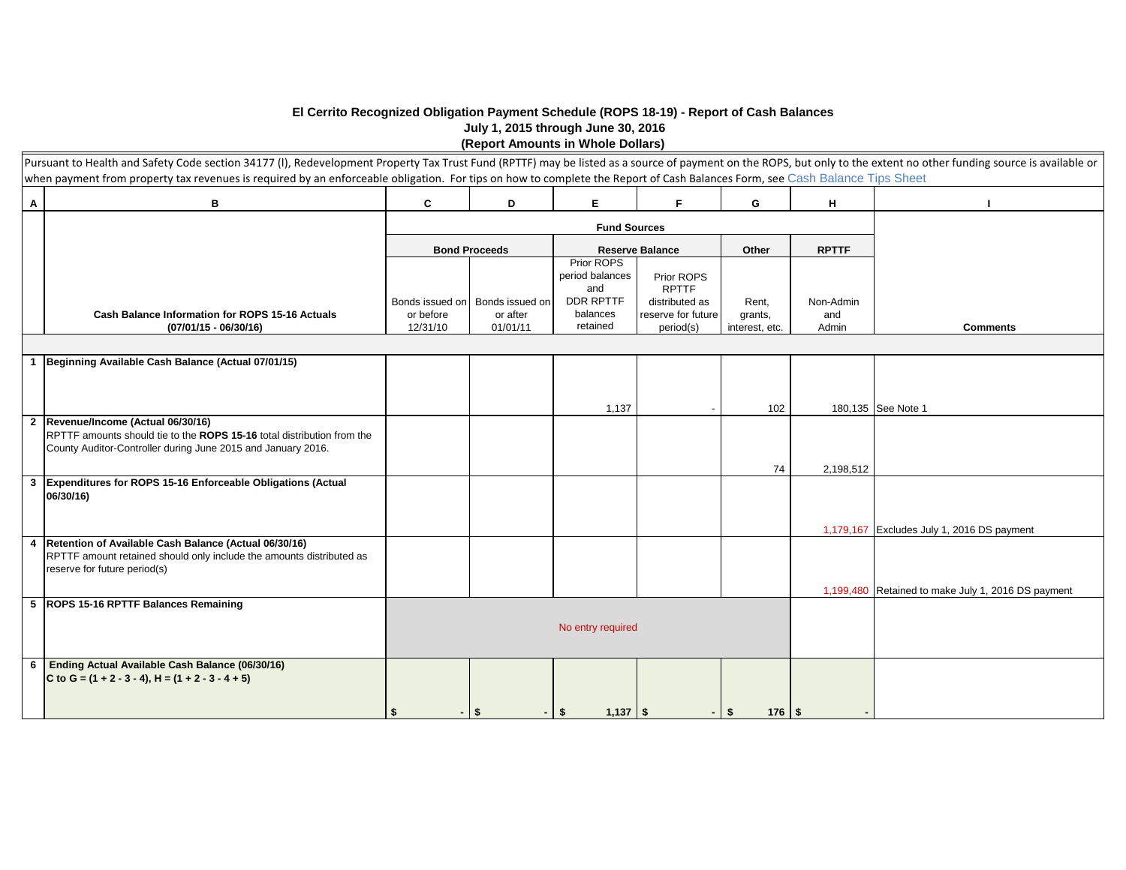## **El Cerrito Recognized Obligation Payment Schedule (ROPS 18-19) - Report of Cash Balances July 1, 2015 through June 30, 2016 (Report Amounts in Whole Dollars)**

|                         | Pursuant to Health and Safety Code section 34177 (I), Redevelopment Property Tax Trust Fund (RPTTF) may be listed as a source of payment on the ROPS, but only to the extent no other funding source is available or<br>when payment from property tax revenues is required by an enforceable obligation. For tips on how to complete the Report of Cash Balances Form, see Cash Balance Tips Sheet |           |                                 |                                                          |                                              |                |              |                                                    |
|-------------------------|-----------------------------------------------------------------------------------------------------------------------------------------------------------------------------------------------------------------------------------------------------------------------------------------------------------------------------------------------------------------------------------------------------|-----------|---------------------------------|----------------------------------------------------------|----------------------------------------------|----------------|--------------|----------------------------------------------------|
| $\overline{A}$          | В                                                                                                                                                                                                                                                                                                                                                                                                   | C         | D                               | Е                                                        | F                                            | G              | н            |                                                    |
|                         |                                                                                                                                                                                                                                                                                                                                                                                                     |           |                                 | <b>Fund Sources</b>                                      |                                              |                |              |                                                    |
|                         |                                                                                                                                                                                                                                                                                                                                                                                                     |           | <b>Bond Proceeds</b>            |                                                          | <b>Reserve Balance</b>                       | Other          | <b>RPTTF</b> |                                                    |
|                         |                                                                                                                                                                                                                                                                                                                                                                                                     |           | Bonds issued on Bonds issued on | Prior ROPS<br>period balances<br>and<br><b>DDR RPTTF</b> | Prior ROPS<br><b>RPTTF</b><br>distributed as | Rent,          | Non-Admin    |                                                    |
|                         | <b>Cash Balance Information for ROPS 15-16 Actuals</b>                                                                                                                                                                                                                                                                                                                                              | or before | or after                        | balances                                                 | reserve for future                           | grants,        | and          |                                                    |
|                         | $(07/01/15 - 06/30/16)$                                                                                                                                                                                                                                                                                                                                                                             | 12/31/10  | 01/01/11                        | retained                                                 | period(s)                                    | interest, etc. | Admin        | <b>Comments</b>                                    |
|                         |                                                                                                                                                                                                                                                                                                                                                                                                     |           |                                 |                                                          |                                              |                |              |                                                    |
| $\mathbf{1}$            | Beginning Available Cash Balance (Actual 07/01/15)                                                                                                                                                                                                                                                                                                                                                  |           |                                 |                                                          |                                              |                |              |                                                    |
|                         |                                                                                                                                                                                                                                                                                                                                                                                                     |           |                                 |                                                          |                                              |                |              |                                                    |
|                         |                                                                                                                                                                                                                                                                                                                                                                                                     |           |                                 | 1,137                                                    |                                              | 102            |              | 180,135 See Note 1                                 |
| $\overline{\mathbf{2}}$ | Revenue/Income (Actual 06/30/16)<br>RPTTF amounts should tie to the ROPS 15-16 total distribution from the<br>County Auditor-Controller during June 2015 and January 2016.                                                                                                                                                                                                                          |           |                                 |                                                          |                                              |                |              |                                                    |
| $\mathbf{3}$            | Expenditures for ROPS 15-16 Enforceable Obligations (Actual                                                                                                                                                                                                                                                                                                                                         |           |                                 |                                                          |                                              | 74             | 2,198,512    |                                                    |
|                         | 06/30/16)                                                                                                                                                                                                                                                                                                                                                                                           |           |                                 |                                                          |                                              |                |              |                                                    |
| $\overline{4}$          | Retention of Available Cash Balance (Actual 06/30/16)                                                                                                                                                                                                                                                                                                                                               |           |                                 |                                                          |                                              |                |              | 1,179,167 Excludes July 1, 2016 DS payment         |
|                         | RPTTF amount retained should only include the amounts distributed as<br>reserve for future period(s)                                                                                                                                                                                                                                                                                                |           |                                 |                                                          |                                              |                |              |                                                    |
|                         | 5 ROPS 15-16 RPTTF Balances Remaining                                                                                                                                                                                                                                                                                                                                                               |           |                                 |                                                          |                                              |                |              | 1,199,480 Retained to make July 1, 2016 DS payment |
|                         |                                                                                                                                                                                                                                                                                                                                                                                                     |           |                                 | No entry required                                        |                                              |                |              |                                                    |
| 6                       | Ending Actual Available Cash Balance (06/30/16)<br>C to G = $(1 + 2 - 3 - 4)$ , H = $(1 + 2 - 3 - 4 + 5)$                                                                                                                                                                                                                                                                                           | \$        | \$                              | $1,137$ \$<br>- \$                                       |                                              | $-1$ \$        |              |                                                    |